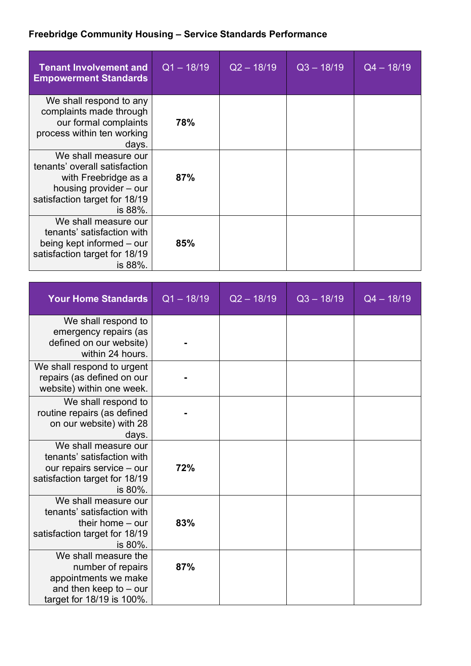## **Freebridge Community Housing – Service Standards Performance**

| <b>Tenant Involvement and</b><br><b>Empowerment Standards</b>                                                                                       | $Q1 - 18/19$ | $Q2 - 18/19$ | $Q3 - 18/19$ | $Q4 - 18/19$ |
|-----------------------------------------------------------------------------------------------------------------------------------------------------|--------------|--------------|--------------|--------------|
| We shall respond to any<br>complaints made through<br>our formal complaints<br>process within ten working<br>days.                                  | 78%          |              |              |              |
| We shall measure our<br>tenants' overall satisfaction<br>with Freebridge as a<br>housing provider – our<br>satisfaction target for 18/19<br>is 88%. | 87%          |              |              |              |
| We shall measure our<br>tenants' satisfaction with<br>being kept informed – our<br>satisfaction target for 18/19<br>is 88%.                         | 85%          |              |              |              |

| <b>Your Home Standards</b>                                                                                                  | $Q1 - 18/19$ | $Q2 - 18/19$ | $Q3 - 18/19$ | $Q4 - 18/19$ |
|-----------------------------------------------------------------------------------------------------------------------------|--------------|--------------|--------------|--------------|
| We shall respond to<br>emergency repairs (as<br>defined on our website)<br>within 24 hours.                                 |              |              |              |              |
| We shall respond to urgent<br>repairs (as defined on our<br>website) within one week.                                       |              |              |              |              |
| We shall respond to<br>routine repairs (as defined<br>on our website) with 28<br>days.                                      |              |              |              |              |
| We shall measure our<br>tenants' satisfaction with<br>our repairs service - our<br>satisfaction target for 18/19<br>is 80%. | 72%          |              |              |              |
| We shall measure our<br>tenants' satisfaction with<br>their home $-$ our<br>satisfaction target for 18/19<br>is 80%.        | 83%          |              |              |              |
| We shall measure the<br>number of repairs<br>appointments we make<br>and then keep to $-$ our<br>target for 18/19 is 100%.  | 87%          |              |              |              |